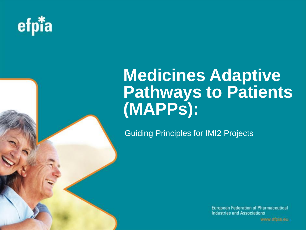

# **Medicines Adaptive Pathways to Patients (MAPPs):**

Guiding Principles for IMI2 Projects

**European Federation of Pharmaceutical Industries and Associations** 

www.efpia.eu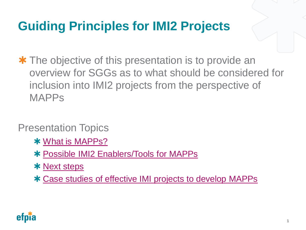# **Guiding Principles for IMI2 Projects**

**\*** The objective of this presentation is to provide an overview for SGGs as to what should be considered for inclusion into IMI2 projects from the perspective of MAPPs

#### Presentation Topics

- [What is MAPPs?](#page-2-0)
- [Possible IMI2 Enablers/Tools for MAPPs](#page-7-0)
- **\* [Next steps](#page-12-0)**
- [Case studies of effective IMI projects to develop MAPPs](#page-13-0)

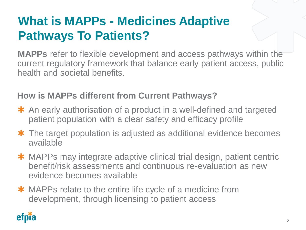# **What is MAPPs - Medicines Adaptive Pathways To Patients?**

**MAPPs** refer to flexible development and access pathways within the current regulatory framework that balance early patient access, public health and societal benefits.

#### **How is MAPPs different from Current Pathways?**

- \* An early authorisation of a product in a well-defined and targeted patient population with a clear safety and efficacy profile
- **\*** The target population is adjusted as additional evidence becomes available
- \* MAPPs may integrate adaptive clinical trial design, patient centric benefit/risk assessments and continuous re-evaluation as new evidence becomes available
- **\*** MAPPs relate to the entire life cycle of a medicine from development, through licensing to patient access

<span id="page-2-0"></span>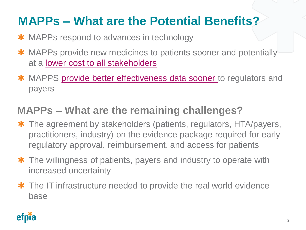# **MAPPs – What are the Potential Benefits?**

- **\*** MAPPs respond to advances in technology
- \* MAPPs provide new medicines to patients sooner and potentially at a [lower cost to all stakeholders](https://www.youtube.com/watch?v=cvj6cuqoGVI)
- \* MAPPS [provide better effectiveness data sooner](https://www.youtube.com/embed/gYEgYIuboWY?rel=0&start=230&end=&autoplay=1) to regulators and payers

#### **MAPPs – What are the remaining challenges?**

- \* The agreement by stakeholders (patients, regulators, HTA/payers, practitioners, industry) on the evidence package required for early regulatory approval, reimbursement, and access for patients
- **\*** The willingness of patients, payers and industry to operate with increased uncertainty
- **\*** The IT infrastructure needed to provide the real world evidence base

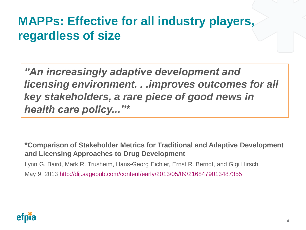## **MAPPs: Effective for all industry players, regardless of size**

*"An increasingly adaptive development and licensing environment. . .improves outcomes for all key stakeholders, a rare piece of good news in health care policy..."\**

**\*Comparison of Stakeholder Metrics for Traditional and Adaptive Development and Licensing Approaches to Drug Development**

Lynn G. Baird, Mark R. Trusheim, Hans-Georg Eichler, Ernst R. Berndt, and Gigi Hirsch May 9, 2013 <http://dij.sagepub.com/content/early/2013/05/09/2168479013487355>

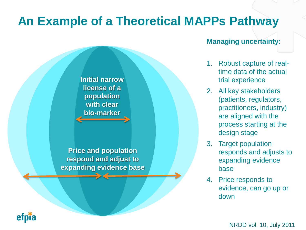## **An Example of a Theoretical MAPPs Pathway**

#### **Managing uncertainty:**

- 1. Robust capture of realtime data of the actual trial experience
- 2. All key stakeholders (patients, regulators, practitioners, industry) are aligned with the process starting at the design stage
- 3. Target population responds and adjusts to expanding evidence base
- 4. Price responds to evidence, can go up or down

NRDD vol. 10, July 2011

**Initial narrow license of a population with clear bio-marker**

**Price and population respond and adjust to expanding evidence base**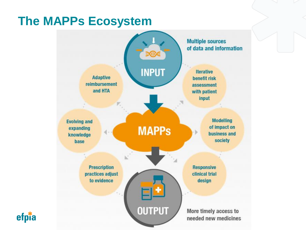## **The MAPPs Ecosystem**

efpia

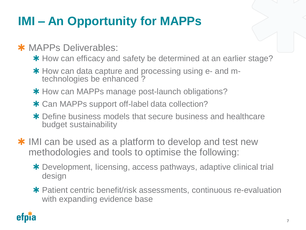# **IMI – An Opportunity for MAPPs**

#### **\*** MAPPs Deliverables:

- \* How can efficacy and safety be determined at an earlier stage?
- \* How can data capture and processing using e- and mtechnologies be enhanced ?
- **\*** How can MAPPs manage post-launch obligations?
- \* Can MAPPs support off-label data collection?
- \* Define business models that secure business and healthcare budget sustainability
- **\*** IMI can be used as a platform to develop and test new methodologies and tools to optimise the following:
	- Development, licensing, access pathways, adaptive clinical trial design
	- Patient centric benefit/risk assessments, continuous re-evaluation with expanding evidence base

<span id="page-7-0"></span>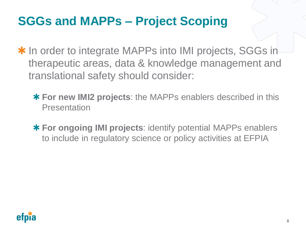# **SGGs and MAPPs – Project Scoping**

- **\*** In order to integrate MAPPs into IMI projects, SGGs in therapeutic areas, data & knowledge management and translational safety should consider:
	- **For new IMI2 projects**: the MAPPs enablers described in this Presentation
	- **For ongoing IMI projects**: identify potential MAPPs enablers to include in regulatory science or policy activities at EFPIA

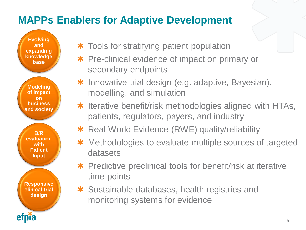### **MAPPs Enablers for Adaptive Development**

**Evolving and expanding knowledge base** 

**Modeling of impact on business and society** 

**B/R evaluation with Patient Input** 

**Responsive clinical trial design** 

- **\*** Tools for stratifying patient population
- **\*** Pre-clinical evidence of impact on primary or secondary endpoints
- \* Innovative trial design (e.g. adaptive, Bayesian), modelling, and simulation
- **\*** Iterative benefit/risk methodologies aligned with HTAs, patients, regulators, payers, and industry
- **\*** Real World Evidence (RWE) quality/reliability
- \* Methodologies to evaluate multiple sources of targeted datasets
- **\*** Predictive preclinical tools for benefit/risk at iterative time-points
- \* Sustainable databases, health registries and monitoring systems for evidence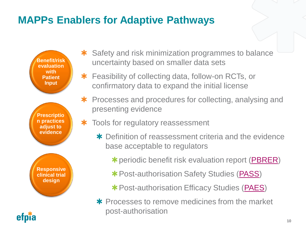### **MAPPs Enablers for Adaptive Pathways**

**Responsive clinical trial design Benefit/risk evaluation with Patient Input Prescriptio n practices adjust to evidence**

- \* Safety and risk minimization programmes to balance uncertainty based on smaller data sets
- **\*** Feasibility of collecting data, follow-on RCTs, or confirmatory data to expand the initial license
- **\*** Processes and procedures for collecting, analysing and presenting evidence
- **\*** Tools for regulatory reassessment
	- \* Definition of reassessment criteria and the evidence base acceptable to regulators
		- \* periodic benefit risk evaluation report [\(PBRER](http://www.ema.europa.eu/docs/en_GB/document_library/Regulatory_and_procedural_guideline/2012/12/WC500136402.pdf))
		- **\* Post-authorisation Safety Studies ([PASS\)](http://www.ema.europa.eu/docs/en_GB/document_library/Scientific_guideline/2012/06/WC500129137.pdf)**
		- **\*** Post-authorisation Efficacy Studies ([PAES\)](http://eur-lex.europa.eu/legal-content/EN/TXT/PDF/?uri=OJ:JOL_2014_107_R_0001&from=EN)
	- **\*** Processes to remove medicines from the market post-authorisation

**10**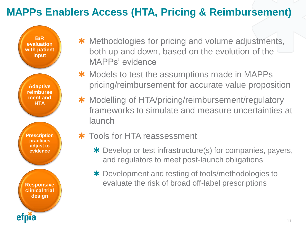## **MAPPs Enablers Access (HTA, Pricing & Reimbursement)**

**B/R evaluation with patient input** 

**Adaptive reimburse ment and HTA**

**Prescription practices adjust to evidence** 

**Responsive clinical trial design** 

- \* Methodologies for pricing and volume adjustments, both up and down, based on the evolution of the MAPPs' evidence
- **\*** Models to test the assumptions made in MAPPs pricing/reimbursement for accurate value proposition
- \* Modelling of HTA/pricing/reimbursement/regulatory frameworks to simulate and measure uncertainties at **launch**

#### \* Tools for HTA reassessment

- \* Develop or test infrastructure(s) for companies, payers, and regulators to meet post-launch obligations
- \* Development and testing of tools/methodologies to evaluate the risk of broad off-label prescriptions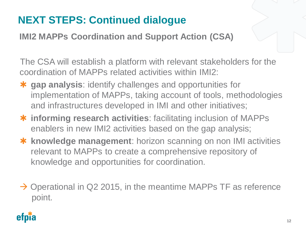## **NEXT STEPS: Continued dialogue**

**IMI2 MAPPs Coordination and Support Action (CSA)**

The CSA will establish a platform with relevant stakeholders for the coordination of MAPPs related activities within IMI2:

- **gap analysis**: identify challenges and opportunities for implementation of MAPPs, taking account of tools, methodologies and infrastructures developed in IMI and other initiatives;
- **\*** informing research activities: facilitating inclusion of MAPPs enablers in new IMI2 activities based on the gap analysis;
- **\*** knowledge management: horizon scanning on non IMI activities relevant to MAPPs to create a comprehensive repository of knowledge and opportunities for coordination.
- $\rightarrow$  Operational in Q2 2015, in the meantime MAPPs TF as reference point.

<span id="page-12-0"></span>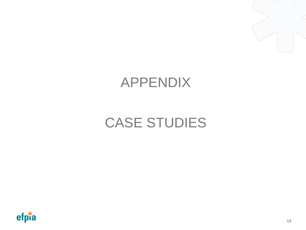

# APPENDIX

# CASE STUDIES

<span id="page-13-0"></span>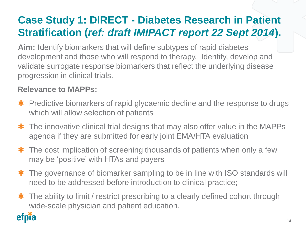## **Case Study 1: DIRECT - Diabetes Research in Patient Stratification (***ref: draft IMIPACT report 22 Sept 2014***).**

**Aim:** Identify biomarkers that will define subtypes of rapid diabetes development and those who will respond to therapy. Identify, develop and validate surrogate response biomarkers that reflect the underlying disease progression in clinical trials.

#### **Relevance to MAPPs:**

- **\*** Predictive biomarkers of rapid glycaemic decline and the response to drugs which will allow selection of patients
- **\*** The innovative clinical trial designs that may also offer value in the MAPPs agenda if they are submitted for early joint EMA/HTA evaluation
- **\*** The cost implication of screening thousands of patients when only a few may be 'positive' with HTAs and payers
- **\*** The governance of biomarker sampling to be in line with ISO standards will need to be addressed before introduction to clinical practice;
- **\*** The ability to limit / restrict prescribing to a clearly defined cohort through wide-scale physician and patient education.